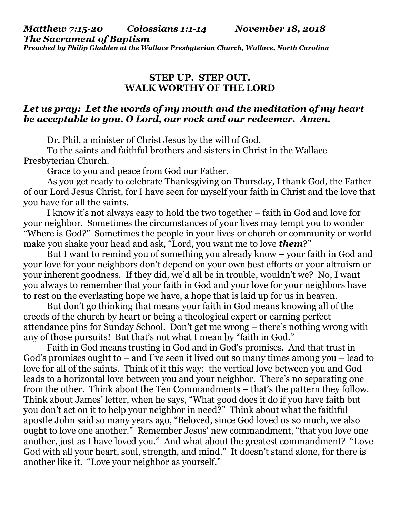*Matthew 7:15-20 Colossians 1:1-14 November 18, 2018 The Sacrament of Baptism Preached by Philip Gladden at the Wallace Presbyterian Church, Wallace, North Carolina*

## **STEP UP. STEP OUT. WALK WORTHY OF THE LORD**

## *Let us pray: Let the words of my mouth and the meditation of my heart be acceptable to you, O Lord, our rock and our redeemer. Amen.*

Dr. Phil, a minister of Christ Jesus by the will of God.

To the saints and faithful brothers and sisters in Christ in the Wallace Presbyterian Church.

Grace to you and peace from God our Father.

As you get ready to celebrate Thanksgiving on Thursday, I thank God, the Father of our Lord Jesus Christ, for I have seen for myself your faith in Christ and the love that you have for all the saints.

I know it's not always easy to hold the two together – faith in God and love for your neighbor. Sometimes the circumstances of your lives may tempt you to wonder "Where is God?" Sometimes the people in your lives or church or community or world make you shake your head and ask, "Lord, you want me to love *them*?"

But I want to remind you of something you already know – your faith in God and your love for your neighbors don't depend on your own best efforts or your altruism or your inherent goodness. If they did, we'd all be in trouble, wouldn't we? No, I want you always to remember that your faith in God and your love for your neighbors have to rest on the everlasting hope we have, a hope that is laid up for us in heaven.

But don't go thinking that means your faith in God means knowing all of the creeds of the church by heart or being a theological expert or earning perfect attendance pins for Sunday School. Don't get me wrong – there's nothing wrong with any of those pursuits! But that's not what I mean by "faith in God."

Faith in God means trusting in God and in God's promises. And that trust in God's promises ought to – and I've seen it lived out so many times among you – lead to love for all of the saints. Think of it this way: the vertical love between you and God leads to a horizontal love between you and your neighbor. There's no separating one from the other. Think about the Ten Commandments – that's the pattern they follow. Think about James' letter, when he says, "What good does it do if you have faith but you don't act on it to help your neighbor in need?" Think about what the faithful apostle John said so many years ago, "Beloved, since God loved us so much, we also ought to love one another." Remember Jesus' new commandment, "that you love one another, just as I have loved you." And what about the greatest commandment? "Love God with all your heart, soul, strength, and mind." It doesn't stand alone, for there is another like it. "Love your neighbor as yourself."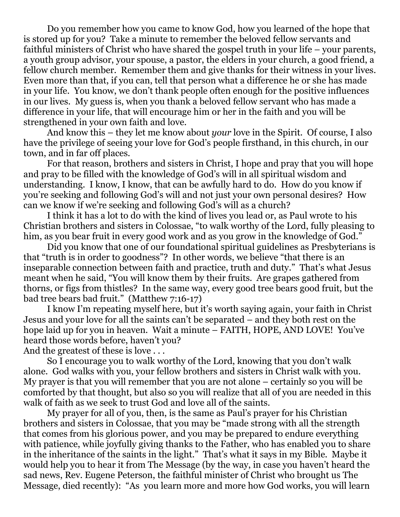Do you remember how you came to know God, how you learned of the hope that is stored up for you? Take a minute to remember the beloved fellow servants and faithful ministers of Christ who have shared the gospel truth in your life – your parents, a youth group advisor, your spouse, a pastor, the elders in your church, a good friend, a fellow church member. Remember them and give thanks for their witness in your lives. Even more than that, if you can, tell that person what a difference he or she has made in your life. You know, we don't thank people often enough for the positive influences in our lives. My guess is, when you thank a beloved fellow servant who has made a difference in your life, that will encourage him or her in the faith and you will be strengthened in your own faith and love.

And know this – they let me know about *your* love in the Spirit. Of course, I also have the privilege of seeing your love for God's people firsthand, in this church, in our town, and in far off places.

For that reason, brothers and sisters in Christ, I hope and pray that you will hope and pray to be filled with the knowledge of God's will in all spiritual wisdom and understanding. I know, I know, that can be awfully hard to do. How do you know if you're seeking and following God's will and not just your own personal desires? How can we know if we're seeking and following God's will as a church?

I think it has a lot to do with the kind of lives you lead or, as Paul wrote to his Christian brothers and sisters in Colossae, "to walk worthy of the Lord, fully pleasing to him, as you bear fruit in every good work and as you grow in the knowledge of God."

Did you know that one of our foundational spiritual guidelines as Presbyterians is that "truth is in order to goodness"? In other words, we believe "that there is an inseparable connection between faith and practice, truth and duty." That's what Jesus meant when he said, "You will know them by their fruits. Are grapes gathered from thorns, or figs from thistles? In the same way, every good tree bears good fruit, but the bad tree bears bad fruit." (Matthew 7:16-17)

I know I'm repeating myself here, but it's worth saying again, your faith in Christ Jesus and your love for all the saints can't be separated – and they both rest on the hope laid up for you in heaven. Wait a minute – FAITH, HOPE, AND LOVE! You've heard those words before, haven't you?

And the greatest of these is love . . .

So I encourage you to walk worthy of the Lord, knowing that you don't walk alone. God walks with you, your fellow brothers and sisters in Christ walk with you. My prayer is that you will remember that you are not alone – certainly so you will be comforted by that thought, but also so you will realize that all of you are needed in this walk of faith as we seek to trust God and love all of the saints.

My prayer for all of you, then, is the same as Paul's prayer for his Christian brothers and sisters in Colossae, that you may be "made strong with all the strength that comes from his glorious power, and you may be prepared to endure everything with patience, while joyfully giving thanks to the Father, who has enabled you to share in the inheritance of the saints in the light." That's what it says in my Bible. Maybe it would help you to hear it from The Message (by the way, in case you haven't heard the sad news, Rev. Eugene Peterson, the faithful minister of Christ who brought us The Message, died recently): "As you learn more and more how God works, you will learn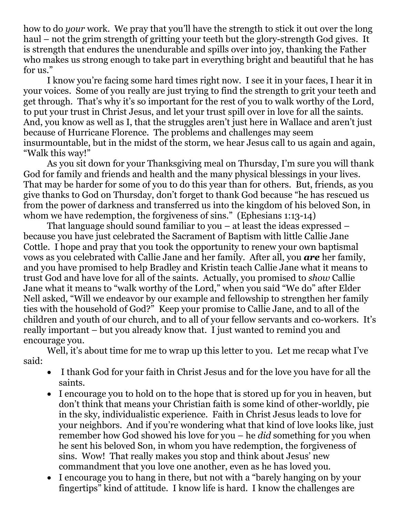how to do *your* work. We pray that you'll have the strength to stick it out over the long haul – not the grim strength of gritting your teeth but the glory-strength God gives. It is strength that endures the unendurable and spills over into joy, thanking the Father who makes us strong enough to take part in everything bright and beautiful that he has for us."

I know you're facing some hard times right now. I see it in your faces, I hear it in your voices. Some of you really are just trying to find the strength to grit your teeth and get through. That's why it's so important for the rest of you to walk worthy of the Lord, to put your trust in Christ Jesus, and let your trust spill over in love for all the saints. And, you know as well as I, that the struggles aren't just here in Wallace and aren't just because of Hurricane Florence. The problems and challenges may seem insurmountable, but in the midst of the storm, we hear Jesus call to us again and again, "Walk this way!"

As you sit down for your Thanksgiving meal on Thursday, I'm sure you will thank God for family and friends and health and the many physical blessings in your lives. That may be harder for some of you to do this year than for others. But, friends, as you give thanks to God on Thursday, don't forget to thank God because "he has rescued us from the power of darkness and transferred us into the kingdom of his beloved Son, in whom we have redemption, the forgiveness of sins." (Ephesians 1:13-14)

That language should sound familiar to you – at least the ideas expressed – because you have just celebrated the Sacrament of Baptism with little Callie Jane Cottle. I hope and pray that you took the opportunity to renew your own baptismal vows as you celebrated with Callie Jane and her family. After all, you *are* her family, and you have promised to help Bradley and Kristin teach Callie Jane what it means to trust God and have love for all of the saints. Actually, you promised to *show* Callie Jane what it means to "walk worthy of the Lord," when you said "We do" after Elder Nell asked, "Will we endeavor by our example and fellowship to strengthen her family ties with the household of God?" Keep your promise to Callie Jane, and to all of the children and youth of our church, and to all of your fellow servants and co-workers. It's really important – but you already know that. I just wanted to remind you and encourage you.

Well, it's about time for me to wrap up this letter to you. Let me recap what I've said:

- I thank God for your faith in Christ Jesus and for the love you have for all the saints.
- I encourage you to hold on to the hope that is stored up for you in heaven, but don't think that means your Christian faith is some kind of other-worldly, pie in the sky, individualistic experience. Faith in Christ Jesus leads to love for your neighbors. And if you're wondering what that kind of love looks like, just remember how God showed his love for you – he *did* something for you when he sent his beloved Son, in whom you have redemption, the forgiveness of sins. Wow! That really makes you stop and think about Jesus' new commandment that you love one another, even as he has loved you.
- I encourage you to hang in there, but not with a "barely hanging on by your fingertips" kind of attitude. I know life is hard. I know the challenges are